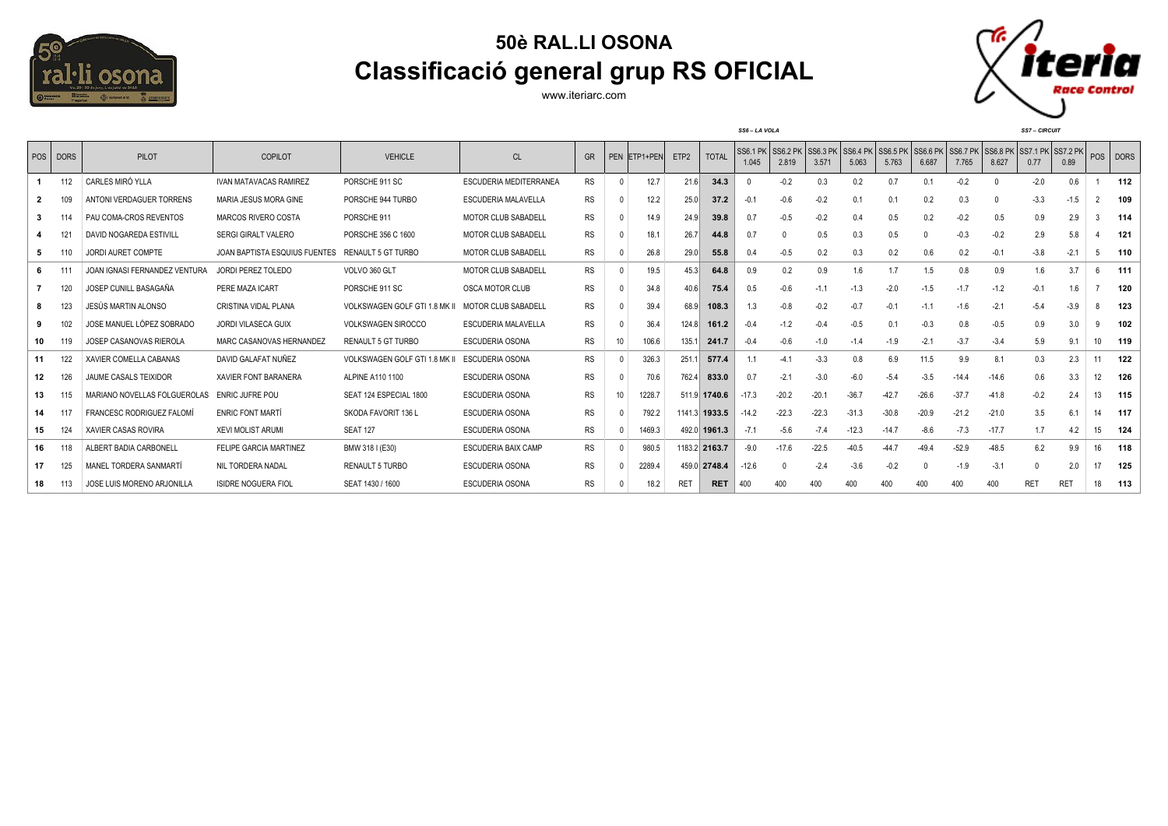

## **50è RAL.LI OSONA Classificació general grup RS OFICIAL**

www.iteriarc.com



|    | POS   DORS | PILOT                         | COPILOT                       | <b>VEHICLE</b>             | <b>CL</b>                     | GR        |    | PEN ETP1+PEN | ETP <sub>2</sub> | <b>TOTA</b>   | <b>SS6.1 PK</b><br>1.045 | SS6.2 PK<br>2.819 | SS6.3 PK<br>3.571 | SS6.4 PK<br>5.063 | <b>SS6.5 PK</b><br>5.763 | SS6.6 PK<br>6.687 | SS6.7 PK<br>7.765 | SS6.8 PK<br>8.627 | SS7.1 PK SS7.2 PK<br>0.77 | 0.89       |    | POS DORS |
|----|------------|-------------------------------|-------------------------------|----------------------------|-------------------------------|-----------|----|--------------|------------------|---------------|--------------------------|-------------------|-------------------|-------------------|--------------------------|-------------------|-------------------|-------------------|---------------------------|------------|----|----------|
|    |            | CARLES MIRÓ YLLA              | <b>IVAN MATAVACAS RAMIREZ</b> | PORSCHE 911 SC             | <b>ESCUDERIA MEDITERRANEA</b> | <b>RS</b> |    | 12.7         | 21.6             | 34.3          |                          | $-0.2$            | 0.3               | 0.2               | 0.7                      | $0$ .             | $-0.2$            |                   | $-2.0$                    | 0.6        |    | 112      |
|    |            | ANTONI VERDAGUER TORRENS      | MARIA JESUS MORA GINE         | PORSCHE 944 TURBO          | ESCUDERIA MALAVELLA           | <b>RS</b> |    | 12.2         | 25.0             | 37.2          | $-0.2$                   | $-0.6$            | $-0.2$            | 0                 | 0.1                      | 0.2               | 0.3               |                   | $-3.3$                    | $-1.5$     |    | 109      |
|    |            | PAU COMA-CROS REVENTOS        | <b>MARCOS RIVERO COSTA</b>    | PORSCHE 911                | <b>MOTOR CLUB SABADELL</b>    | <b>RS</b> |    | 14.9         | 24.9             | 39.8          | 0.7                      | $-0.5$            | $-0.2$            | 0.4               | 0.5                      | 0.2               | $-0.2$            | 0.5               | 0.9                       | 2.9        |    | 114      |
|    |            | DAVID NOGAREDA ESTIVILL       | SERGI GIRALT VALERO           | PORSCHE 356 C 1600         | <b>MOTOR CLUB SABADELL</b>    | <b>RS</b> |    | 18.          | 26.7             | 44.8          | 0.7                      |                   | 0.5               | 0.3               | 0.5                      |                   | $-0.3$            | $-0.2$            | 2.9                       | 5.8        |    | 121      |
|    |            | JORDI AURET COMPTE            | JOAN BAPTISTA ESQUIUS FUENTES | <b>RENAULT 5 GT TURBO</b>  | <b>MOTOR CLUB SABADELL</b>    | <b>RS</b> |    | 26.8         | 29.0             | 55.8          | 0.4                      | $-0.5$            | 0.2               | 0.3               | 0.2                      | 0.6               | 0.2               | $-0.1$            | $-3.8$                    | $-2.1$     | 5  | 110      |
|    |            | JOAN IGNASI FERNANDEZ VENTURA | <b>JORDI PEREZ TOLEDO</b>     | VOLVO 360 GLT              | MOTOR CLUB SABADELL           | <b>RS</b> |    | 19.5         | 45.3             | 64.8          | 0.9                      | 0.2               | 0.9               | 1.6               | 1.7                      | 1.5               | 0.8               | 0.9               | 1.6                       | 3.7        | 6  | 111      |
|    |            | JOSEP CUNILL BASAGAÑA         | PERE MAZA ICART               | PORSCHE 911 SC             | OSCA MOTOR CLUB               | <b>RS</b> |    | 34.8         | 40.6             | 75.4          | 0.5                      | $-0.6$            | $-1.1$            | $-1.3$            | $-2.0$                   | $-1.5$            | $-1.7$            | $-1.2$            | $-0.1$                    | 1.6        |    | 120      |
|    | 123        | JESÚS MARTIN ALONSO           | <b>CRISTINA VIDAL PLANA</b>   | VOLKSWAGEN GOLF GTI 1.8 MK | <b>MOTOR CLUB SABADELL</b>    | <b>RS</b> |    | 39.4         | 68.9             | 108.3         | 1.3                      | $-0.8$            | $-0.2$            | $-0.7$            | -0.1                     | $-1.1$            | $-1.6$            | $-2.7$            | $-5.4$                    | $-3.9$     |    | 123      |
|    |            | JOSE MANUEL LÓPEZ SOBRADO     | <b>JORDI VILASECA GUIX</b>    | <b>VOLKSWAGEN SIROCCO</b>  | ESCUDERIA MALAVELLA           | <b>RS</b> |    | 36.4         | 124.8            | 161.2         | $-0.4$                   |                   | $-0.4$            |                   | 0.1                      |                   | 0.8               | $-0.5$            | 0.9                       | 3.0        | 9  | 102      |
| 10 |            | JOSEP CASANOVAS RIEROLA       | MARC CASANOVAS HERNANDEZ      | <b>RENAULT 5 GT TURBO</b>  | ESCUDERIA OSONA               | <b>RS</b> | 10 | 106.6        | 135.7            | 241.7         | $-0.4$                   | $-0.6$            | $-1.0$            | -1.4              | $-1.9$                   | $-2.1$            | $-3.7$            | $-3.4$            | 5.9                       | 9.1        | 10 | 119      |
| 11 | 122        | XAVIER COMELLA CABANAS        | DAVID GALAFAT NUÑEZ           | VOLKSWAGEN GOLF GTI 1.8 MK | <b>ESCUDERIA OSONA</b>        | <b>RS</b> |    | 326.3        | 251.7            | 577.4         | 1.1                      | $-4$ .            | $-3.3$            | 0.8               | 6.9                      | 11.5              | 9.9               | 8.1               | 0.3                       | 2.3        |    | 122      |
| 12 | 126        | JAUME CASALS TEIXIDOR         | <b>XAVIER FONT BARANERA</b>   | ALPINE A110 1100           | <b>ESCUDERIA OSONA</b>        | <b>RS</b> |    | 70.6         | 762.4            | 833.0         | 0.7                      | $-2.2$            | $-3.0$            | $-6.0$            | $-5.4$                   | $-3.5$            | $-14.4$           | $-14.6$           | 0.6                       | 3.3        | 12 | 126      |
| 13 |            | MARIANO NOVELLAS FOLGUEROLAS  | ENRIC JUFRE POU               | SEAT 124 ESPECIAL 1800     | ESCUDERIA OSONA               | <b>RS</b> |    | 1228.        |                  | 511.9 1740.6  | $-17.3$                  | $-20.2$           | $-20.1$           | $-36.7$           | $-42.7$                  | $-26.6$           | $-37.7$           | $-41.8$           | $-0.2$                    | 2.4        | 13 | 115      |
| 14 |            | FRANCESC RODRIGUEZ FALOM      | <b>ENRIC FONT MARTÍ</b>       | SKODA FAVORIT 136 L        | ESCUDERIA OSONA               | <b>RS</b> |    | 792.2        | 1141.3           | 1933.5        | $-14.2$                  | $-22.3$           | $-22.3$           | $-31.3$           | $-30.8$                  | $-20.9$           | $-21.2$           | $-21.0$           | 3.5                       | 6.1        |    | 117      |
| 15 | 124        | XAVIER CASAS ROVIRA           | <b>XEVI MOLIST ARUMI</b>      | <b>SEAT 127</b>            | ESCUDERIA OSONA               | <b>RS</b> |    | 1469.3       | 492.0            | 1961.3        | $-7.1$                   | $-5.6$            | $-7.4$            | $-12.3$           | $-14.7$                  | $-8.6$            | $-7.3$            | $-17.7$           | 1.7                       |            | 15 | 124      |
| 16 |            | ALBERT BADIA CARBONELI        | FELIPE GARCIA MARTINEZ        | BMW 318 I (E30)            | <b>ESCUDERIA BAIX CAMP</b>    | <b>RS</b> |    | 980.5        |                  | 1183.2 2163.7 | $-9.0$                   | $-17.6$           | $-22.5$           |                   | -44.7                    | $-49.4$           | $-52.9$           | $-48.5$           | 6.2                       | 9.9        |    | 118      |
| 17 | 125        | MANEL TORDERA SANMARTÍ        | NIL TORDERA NADAL             | <b>RENAULT 5 TURBO</b>     | ESCUDERIA OSONA               | <b>RS</b> |    | 2289         |                  | 459.0 2748.4  | $-12.6$                  |                   | $-2.4$            | $-3.6$            | $-0.2$                   |                   | $-1.9$            | $-3.1$            |                           | 2.0        |    | 125      |
| 18 |            | JOSE LUIS MORENO ARJONILLA    | <b>ISIDRE NOGUERA FIOL</b>    | SEAT 1430 / 1600           | ESCUDERIA OSONA               | <b>RS</b> |    | 18.2         | <b>RET</b>       | <b>RET</b>    | 400                      | 400               |                   |                   | 400                      | 400               | 400               | 400               | <b>RET</b>                | <b>RET</b> | 18 | 113      |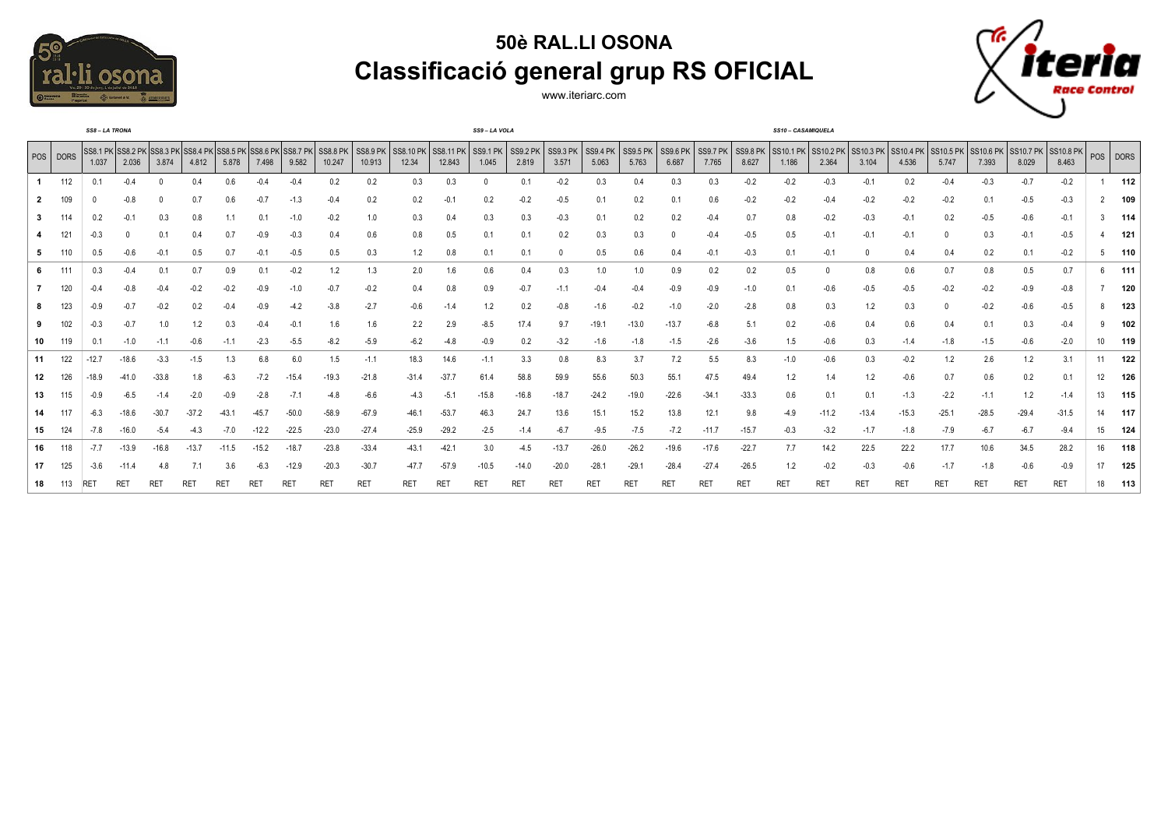

## **50è RAL.LI OSONA Classificació general grup RS OFICIAL**



www.iteriarc.com

|     | SS8-LA TRONA    |            |                            |                   |                   |                          |                   |                   |                    | SS9-LA VOLA               |                           |                            |                   |                          |                   |                          |                          |                   | SS10 - CASAMIQUELA       |                          |                              |            |            |                              |                    |                 |                              |                    |    |          |
|-----|-----------------|------------|----------------------------|-------------------|-------------------|--------------------------|-------------------|-------------------|--------------------|---------------------------|---------------------------|----------------------------|-------------------|--------------------------|-------------------|--------------------------|--------------------------|-------------------|--------------------------|--------------------------|------------------------------|------------|------------|------------------------------|--------------------|-----------------|------------------------------|--------------------|----|----------|
|     | POS DORS        | 1.037      | SS8.1 PK SS8.2 PK<br>2.036 | SS8.3 PK<br>3.874 | SS8.4 PK<br>4.812 | <b>SS8.5 PK</b><br>5.878 | SS8.6 PK<br>7.498 | SS8.7 PK<br>9.582 | SS8.8 PK<br>10.247 | <b>SS8.9 PK</b><br>10.913 | <b>SS8.10 PK</b><br>12.34 | <b>SS8.11 PK</b><br>12.843 | SS9.1 PK<br>1.045 | <b>SS9.2 PK</b><br>2.819 | SS9.3 PK<br>3.571 | <b>SS9.4 PK</b><br>5.063 | <b>SS9.5 PK</b><br>5.763 | SS9.6 PK<br>6.687 | <b>SS9.7 PK</b><br>7.765 | <b>SS9.8 PK</b><br>8.627 | SS10.1 PK SS10.2 PK<br>1.186 | 2.364      | 3.104      | SS10.3 PK SS10.4 PK<br>4.536 | SS10.5 PK<br>5.747 | 7.393           | SS10.6 PK SS10.7 PK<br>8.029 | SS10.8 PK<br>8.463 |    | POS DORS |
|     | 112             | 0.1        |                            |                   |                   | 0.6                      | $-0.4$            | $-0.4$            | 0.2                | 0.2                       | 0.3                       | 0.3                        |                   | 0.1                      | $-0.2$            | 0.3                      | 0.4                      | 0.3               | 0.3                      | $-0.2$                   | $-0.2$                       | $-0.3$     | $-0.1$     | 0.2                          | $-0.4$             | $-0.3$          | $-0.7$                       | $-0.2$             |    | 112      |
|     | 109             |            |                            |                   |                   |                          |                   |                   | $-0.4$             | 0.2                       |                           | -0.                        | 0.2               | $-0.2$                   | $-0.5$            | 0.1                      | 0.2                      | 0.                | 0.6                      | $-0.2$                   | $-0.2$                       | -0.4       | $-0.2$     | $-0.2$                       | -0.2               | 0.1             | $-0.5$                       | $-0.3$             |    | 109      |
|     | 114             |            |                            | 0.3               | 0.8               |                          | 0.                | $-1.0$            | $-0.2$             | 1.0                       |                           | 0.4                        | 0.3               | 0.3                      | $-0.3$            | 0.1                      | 0.2                      | 0.2               |                          | 0.7                      | 0.8                          | $-0.2$     | $-0.3$     | $-0.1$                       | 0.2                | $-0.5$          | $-0.6$                       | $-0.1$             | 3  | 114      |
|     | 12 <sup>1</sup> |            |                            |                   |                   | 0.7                      |                   | $-0.3$            | 0.4                | 0.6                       | 0.8                       | 0.5                        | 0.1               | 0.1                      | 0.2               | 0.3                      | 0.3                      |                   | $-0.4$                   | $-0.5$                   | 0.5                          | $-0.1$     | $-0.1$     | $-0.1$                       |                    | 0.3             | $-0.1$                       | $-0.5$             |    | - 121    |
|     | 110             |            | $-0.6$                     |                   | 0.5               | 0.7                      |                   | $-0.5$            | 0.5                | 0.3                       | 1.2                       | 0.8                        | 0.1               | 0.1                      |                   | 0.5                      | 0.6                      | 0.4               | $-0.1$                   | $-0.3$                   | 0.1                          | -0.1       |            | 0.4                          | 0.4                | 0.2             | 0.1                          | $-0.2$             | -5 | 110      |
|     |                 |            |                            |                   |                   | 0.9                      |                   |                   | 1.2                | 1.3                       | 2.0                       | 1.6                        | 0.6               | 0.4                      | 0.3               |                          | 1.0                      |                   | 0.2                      | 0.2                      | 0.5                          |            | 0.8        | 0.6                          | 0.7                | 0.8             | 0.5                          | 0.7                | 6  | 111      |
|     | 120             |            |                            |                   |                   |                          |                   | -1.0              | $-0.7$             |                           |                           | 0.8                        | 0.9               | $-0.7$                   |                   |                          |                          |                   |                          |                          | 0.1                          | $-0.6$     | $-0.5$     | $-0.5$                       | $-0.2$             | $-0.2$          | $-0.9$                       | $-0.8$             |    | 120      |
|     | 123             |            |                            |                   |                   |                          |                   |                   | $-3.8$             | $-2.7$                    | -0.6                      | $-1.4$                     | 1.2               | 0.2                      | $-0.8$            | $-1.6$                   | $-0.2$                   | $-1.0$            | $-2.0$                   | $-2.8$                   | 0.8                          | 0.3        | 1.2        | 0.3                          |                    | $-0.2$          | $-0.6$                       | $-0.5$             | 8  | 123      |
|     | 102             |            |                            |                   |                   |                          |                   |                   | 1.6                | 1.6                       | 2.2                       | 2.9                        | -8.5              | 17.4                     | 9.7               | $-19.1$                  | $-13.0$                  | $-13.7$           | $-6.8$                   | 5.1                      | 0.2                          | $-0.6$     | 0.4        | 0.6                          | 0.4                | 0.1             | 0.3                          | $-0.4$             |    | 102      |
| 10  | 119             | 0.         | $-1.0$                     | $-1.1$            |                   |                          | $-2.3$            | $-5.5$            | $-8.2$             | $-5.9$                    | -6.2                      | $-4.8$                     | $-0.9$            | 0.2                      | $-3.2$            | $-1.6$                   | $-1.8$                   | $-1.5$            | $-2.6$                   | $-3.6$                   | 1.5                          | $-0.6$     | 0.3        | $-1.4$                       | $-1.8$             | $-1.5$          | $-0.6$                       | $-2.0$             | 10 | 119      |
| 11  | 122             | -12.1      | $-18.6$                    | $-3.3$            | $-1.5$            |                          | 6.8               | 6.0               | 1.5                | $-1.1$                    | 18.3                      | 14.6                       | $-1.1$            | 3.3                      | 0.8               | 8.3                      | 3.7                      | 7.2               | 5.5                      | 8.3                      | $-1.0$                       | $-0.6$     | 0.3        | $-0.2$                       | 1.2                | 2.6             | 1.2                          | 3.1                | 11 | 122      |
| 12  | 126             | -18.9      |                            | $-33.8$           | 1.8               | $-6.3$                   | $-7.2$            |                   | $-19.3$            | $-21.8$                   | $-31.4$                   | $-37.7$                    | 61.4              | 58.8                     | 59.9              | 55.6                     | 50.3                     | 55.1              | 47.5                     | 49.4                     | 1.2                          | 1.4        | 1.2        | $-0.6$                       | 0.7                | 0.6             | 0.2                          | 0.1                | 12 | 126      |
| 13  | 115             |            |                            | -1.4              | $-2.0$            |                          | $-2.8$            | $-7.1$            | $-4.8$             | $-6.6$                    | -4.3                      | $-5.$                      | $-15.8$           | $-16.8$                  | $-18.7$           | $-24.2$                  | $-19.0$                  | $-22.6$           | $-34.1$                  | $-33.3$                  | 0.6                          | 0.1        | 0.1        | $-1.3$                       | $-2.2$             | $-1.1$          | 1.2                          | $-1.4$             | 13 | - 115    |
| 14  | 117             |            |                            | $-30.$            | $-37.2$           |                          |                   | $-50.0$           | $-58.9$            | $-67.9$                   | $-46.1$                   | $-53.7$                    | 46.3              | 24.7                     | 13.6              | 15.1                     | 15.2                     | 13.8              | 12.7                     | 9.8                      | $-4.9$                       | $-11.2$    | $-13.4$    | $-15.3$                      | $-25.1$            | $-28.5$         | $-29.4$                      | $-31.5$            | 14 | 117      |
| 15  |                 |            |                            | -5.4              |                   |                          | 12.2              | $-22.5$           | $-23.0$            | $-27.4$                   | $-25.9$                   | $-29.2$                    | $-2.5$            | $-1.4$                   | $-6.7$            | $-9.5$                   | $-7.5$                   | $-7.2$            | $-11.7$                  | $-15.7$                  | $-0.3$                       | $-3.2$     | $-1.7$     | $-1.8$                       | $-7.9$             | $-6.7$          | $-6.7$                       | $-9.4$             | 15 | 124      |
| 16. | 118             |            | $-13.9$                    | $-16.8$           | $-13.$            | $-11.5$                  | $-15.2$           |                   | $-23.8$            | $-33.4$                   | $-43.1$                   | $-42.$                     | 3.0               | -4.5                     | $-13.7$           | $-26.0$                  | $-26.2$                  | $-19.6$           | $-17.6$                  | $-22.7$                  | 7.7                          | 14.2       | 22.5       | 22.2                         | 17.7               | 10.6            | 34.5                         | 28.2               | 16 | 118      |
| 17  | 125             | -3.6       | -11.4                      |                   |                   | 3.6                      | $-6.3$            | -12.9             | $-20.3$            | $-30.7$                   | $-47.7$                   | $-57.9$                    | $-10.5$           | $-14.0$                  | $-20.0$           | $-28.1$                  | $-29.1$                  | $-28.4$           | $-27.$                   | $-26.5$                  | 1.2                          | $-0.2$     | $-0.3$     | $-0.6$                       | $-1.7$             | $-1.8$          | $-0.6$                       | $-0.9$             | 17 | 125      |
| 18  | 113             | <b>RET</b> | RE <sub>1</sub>            | RE <sub>1</sub>   | <b>RET</b>        | RET                      | RET               | RE <sub>1</sub>   | <b>RET</b>         | RE <sub>1</sub>           | RET                       | <b>RET</b>                 | <b>RET</b>        | RE <sub>1</sub>          | <b>RET</b>        | RE <sub>1</sub>          | <b>RET</b>               | RE <sub>1</sub>   | RE <sub>1</sub>          | <b>RET</b>               | <b>RET</b>                   | <b>RET</b> | <b>RET</b> | <b>RET</b>                   | <b>RET</b>         | RE <sub>1</sub> | <b>RET</b>                   | <b>RET</b>         | 18 | 113      |